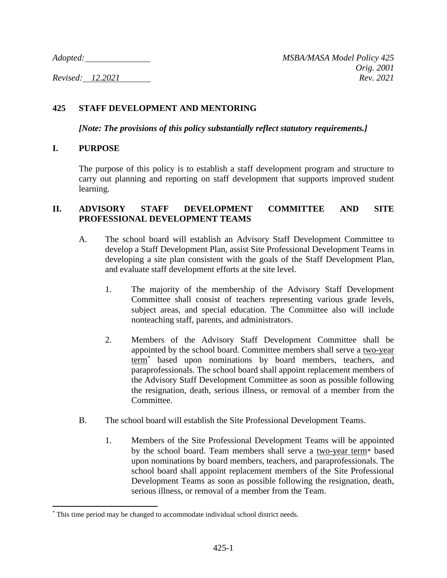## **425 STAFF DEVELOPMENT AND MENTORING**

*[Note: The provisions of this policy substantially reflect statutory requirements.]*

### **I. PURPOSE**

The purpose of this policy is to establish a staff development program and structure to carry out planning and reporting on staff development that supports improved student learning.

### **II. ADVISORY STAFF DEVELOPMENT COMMITTEE AND SITE PROFESSIONAL DEVELOPMENT TEAMS**

- A. The school board will establish an Advisory Staff Development Committee to develop a Staff Development Plan, assist Site Professional Development Teams in developing a site plan consistent with the goals of the Staff Development Plan, and evaluate staff development efforts at the site level.
	- 1. The majority of the membership of the Advisory Staff Development Committee shall consist of teachers representing various grade levels, subject areas, and special education. The Committee also will include nonteaching staff, parents, and administrators.
	- 2. Members of the Advisory Staff Development Committee shall be appointed by the school board. Committee members shall serve a two-year term<sup>\*</sup> based upon nominations by board members, teachers, and paraprofessionals. The school board shall appoint replacement members of the Advisory Staff Development Committee as soon as possible following the resignation, death, serious illness, or removal of a member from the Committee.
- B. The school board will establish the Site Professional Development Teams.
	- 1. Members of the Site Professional Development Teams will be appointed by the school board. Team members shall serve a two-year term<sup>\*</sup> based upon nominations by board members, teachers, and paraprofessionals. The school board shall appoint replacement members of the Site Professional Development Teams as soon as possible following the resignation, death, serious illness, or removal of a member from the Team.

<sup>\*</sup> This time period may be changed to accommodate individual school district needs.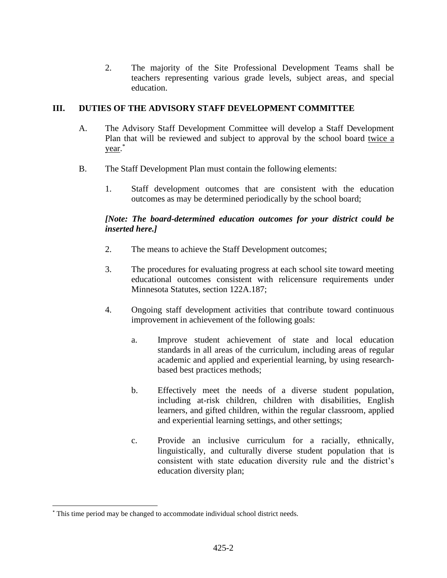2. The majority of the Site Professional Development Teams shall be teachers representing various grade levels, subject areas, and special education.

## **III. DUTIES OF THE ADVISORY STAFF DEVELOPMENT COMMITTEE**

- A. The Advisory Staff Development Committee will develop a Staff Development Plan that will be reviewed and subject to approval by the school board twice a year. \*
- B. The Staff Development Plan must contain the following elements:
	- 1. Staff development outcomes that are consistent with the education outcomes as may be determined periodically by the school board;

# *[Note: The board-determined education outcomes for your district could be inserted here.]*

- 2. The means to achieve the Staff Development outcomes;
- 3. The procedures for evaluating progress at each school site toward meeting educational outcomes consistent with relicensure requirements under Minnesota Statutes, section 122A.187;
- 4. Ongoing staff development activities that contribute toward continuous improvement in achievement of the following goals:
	- a. Improve student achievement of state and local education standards in all areas of the curriculum, including areas of regular academic and applied and experiential learning, by using researchbased best practices methods;
	- b. Effectively meet the needs of a diverse student population, including at-risk children, children with disabilities, English learners, and gifted children, within the regular classroom, applied and experiential learning settings, and other settings;
	- c. Provide an inclusive curriculum for a racially, ethnically, linguistically, and culturally diverse student population that is consistent with state education diversity rule and the district's education diversity plan;

<sup>\*</sup> This time period may be changed to accommodate individual school district needs.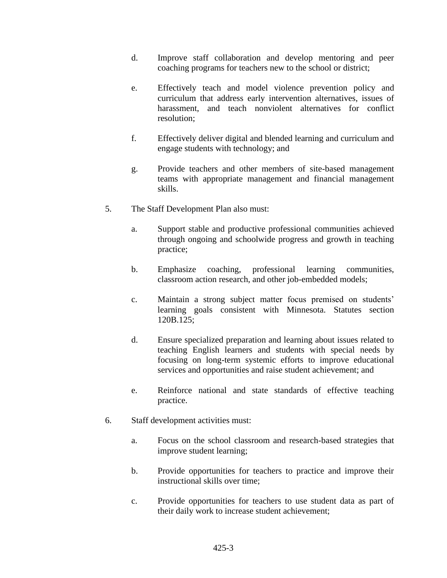- d. Improve staff collaboration and develop mentoring and peer coaching programs for teachers new to the school or district;
- e. Effectively teach and model violence prevention policy and curriculum that address early intervention alternatives, issues of harassment, and teach nonviolent alternatives for conflict resolution;
- f. Effectively deliver digital and blended learning and curriculum and engage students with technology; and
- g. Provide teachers and other members of site-based management teams with appropriate management and financial management skills.
- 5. The Staff Development Plan also must:
	- a. Support stable and productive professional communities achieved through ongoing and schoolwide progress and growth in teaching practice;
	- b. Emphasize coaching, professional learning communities, classroom action research, and other job-embedded models;
	- c. Maintain a strong subject matter focus premised on students' learning goals consistent with Minnesota. Statutes section 120B.125;
	- d. Ensure specialized preparation and learning about issues related to teaching English learners and students with special needs by focusing on long-term systemic efforts to improve educational services and opportunities and raise student achievement; and
	- e. Reinforce national and state standards of effective teaching practice.
- 6. Staff development activities must:
	- a. Focus on the school classroom and research-based strategies that improve student learning;
	- b. Provide opportunities for teachers to practice and improve their instructional skills over time;
	- c. Provide opportunities for teachers to use student data as part of their daily work to increase student achievement;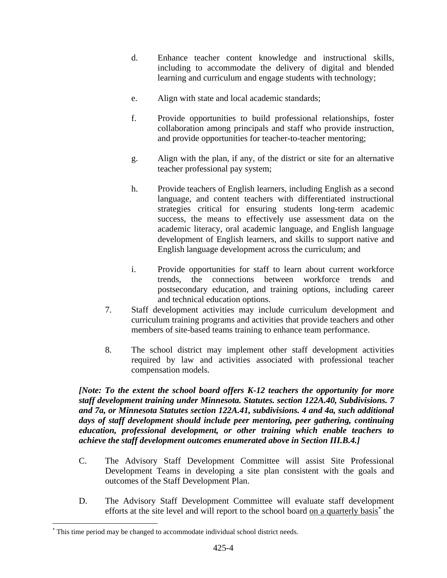- d. Enhance teacher content knowledge and instructional skills, including to accommodate the delivery of digital and blended learning and curriculum and engage students with technology;
- e. Align with state and local academic standards;
- f. Provide opportunities to build professional relationships, foster collaboration among principals and staff who provide instruction, and provide opportunities for teacher-to-teacher mentoring;
- g. Align with the plan, if any, of the district or site for an alternative teacher professional pay system;
- h. Provide teachers of English learners, including English as a second language, and content teachers with differentiated instructional strategies critical for ensuring students long-term academic success, the means to effectively use assessment data on the academic literacy, oral academic language, and English language development of English learners, and skills to support native and English language development across the curriculum; and
- i. Provide opportunities for staff to learn about current workforce trends, the connections between workforce trends and postsecondary education, and training options, including career and technical education options.
- 7. Staff development activities may include curriculum development and curriculum training programs and activities that provide teachers and other members of site-based teams training to enhance team performance.
- 8. The school district may implement other staff development activities required by law and activities associated with professional teacher compensation models.

*[Note: To the extent the school board offers K-12 teachers the opportunity for more staff development training under Minnesota. Statutes. section 122A.40, Subdivisions. 7 and 7a, or Minnesota Statutes section 122A.41, subdivisions. 4 and 4a, such additional days of staff development should include peer mentoring, peer gathering, continuing education, professional development, or other training which enable teachers to achieve the staff development outcomes enumerated above in Section III.B.4.]*

- C. The Advisory Staff Development Committee will assist Site Professional Development Teams in developing a site plan consistent with the goals and outcomes of the Staff Development Plan.
- D. The Advisory Staff Development Committee will evaluate staff development efforts at the site level and will report to the school board on a quarterly basis<sup>\*</sup> the

<sup>\*</sup> This time period may be changed to accommodate individual school district needs.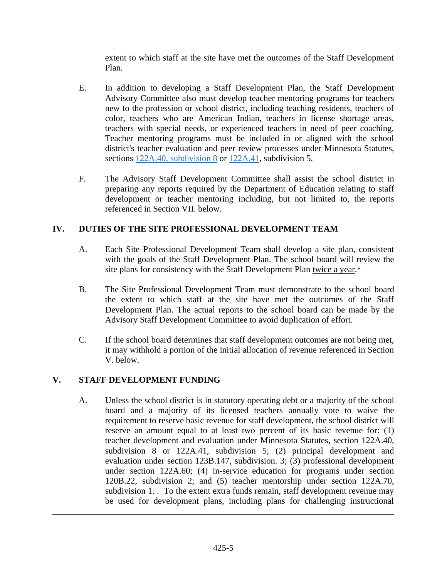extent to which staff at the site have met the outcomes of the Staff Development Plan.

- E. In addition to developing a Staff Development Plan, the Staff Development Advisory Committee also must develop teacher mentoring programs for teachers new to the profession or school district, including teaching residents, teachers of color, teachers who are American Indian, teachers in license shortage areas, teachers with special needs, or experienced teachers in need of peer coaching. Teacher mentoring programs must be included in or aligned with the school district's teacher evaluation and peer review processes under Minnesota Statutes, sections [122A.40, subdivision 8](https://www.revisor.mn.gov/statutes/cite/122A.40#stat.122A.40.8) or [122A.41,](https://www.revisor.mn.gov/statutes/cite/122A.41) subdivision 5.
- F. The Advisory Staff Development Committee shall assist the school district in preparing any reports required by the Department of Education relating to staff development or teacher mentoring including, but not limited to, the reports referenced in Section VII. below.

# **IV. DUTIES OF THE SITE PROFESSIONAL DEVELOPMENT TEAM**

- A. Each Site Professional Development Team shall develop a site plan, consistent with the goals of the Staff Development Plan. The school board will review the site plans for consistency with the Staff Development Plan twice a year.\*
- B. The Site Professional Development Team must demonstrate to the school board the extent to which staff at the site have met the outcomes of the Staff Development Plan. The actual reports to the school board can be made by the Advisory Staff Development Committee to avoid duplication of effort.
- C. If the school board determines that staff development outcomes are not being met, it may withhold a portion of the initial allocation of revenue referenced in Section V. below.

## **V. STAFF DEVELOPMENT FUNDING**

A. Unless the school district is in statutory operating debt or a majority of the school board and a majority of its licensed teachers annually vote to waive the requirement to reserve basic revenue for staff development, the school district will reserve an amount equal to at least two percent of its basic revenue for: (1) teacher development and evaluation under Minnesota Statutes, section 122A.40, subdivision 8 or 122A.41, subdivision 5; (2) principal development and evaluation under section 123B.147, subdivision. 3; (3) professional development under section 122A.60; (4) in-service education for programs under section 120B.22, subdivision 2; and (5) teacher mentorship under section 122A.70, subdivision 1. . To the extent extra funds remain, staff development revenue may be used for development plans, including plans for challenging instructional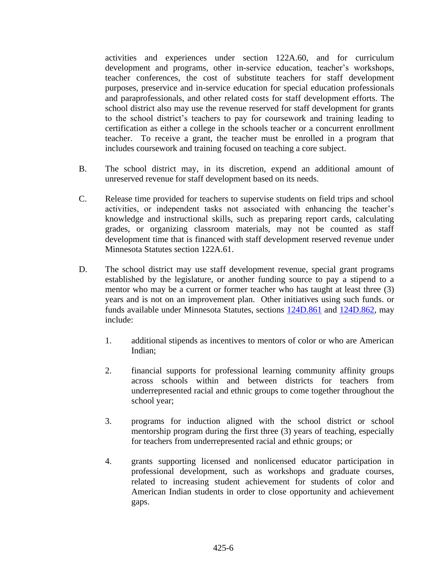activities and experiences under section 122A.60, and for curriculum development and programs, other in-service education, teacher's workshops, teacher conferences, the cost of substitute teachers for staff development purposes, preservice and in-service education for special education professionals and paraprofessionals, and other related costs for staff development efforts. The school district also may use the revenue reserved for staff development for grants to the school district's teachers to pay for coursework and training leading to certification as either a college in the schools teacher or a concurrent enrollment teacher. To receive a grant, the teacher must be enrolled in a program that includes coursework and training focused on teaching a core subject.

- B. The school district may, in its discretion, expend an additional amount of unreserved revenue for staff development based on its needs.
- C. Release time provided for teachers to supervise students on field trips and school activities, or independent tasks not associated with enhancing the teacher's knowledge and instructional skills, such as preparing report cards, calculating grades, or organizing classroom materials, may not be counted as staff development time that is financed with staff development reserved revenue under Minnesota Statutes section 122A.61.
- D. The school district may use staff development revenue, special grant programs established by the legislature, or another funding source to pay a stipend to a mentor who may be a current or former teacher who has taught at least three (3) years and is not on an improvement plan. Other initiatives using such funds. or funds available under Minnesota Statutes, sections [124D.861](https://www.revisor.mn.gov/statutes/cite/124D.861) and [124D.862,](https://www.revisor.mn.gov/statutes/cite/124D.862) may include:
	- 1. additional stipends as incentives to mentors of color or who are American Indian;
	- 2. financial supports for professional learning community affinity groups across schools within and between districts for teachers from underrepresented racial and ethnic groups to come together throughout the school year;
	- 3. programs for induction aligned with the school district or school mentorship program during the first three (3) years of teaching, especially for teachers from underrepresented racial and ethnic groups; or
	- 4. grants supporting licensed and nonlicensed educator participation in professional development, such as workshops and graduate courses, related to increasing student achievement for students of color and American Indian students in order to close opportunity and achievement gaps.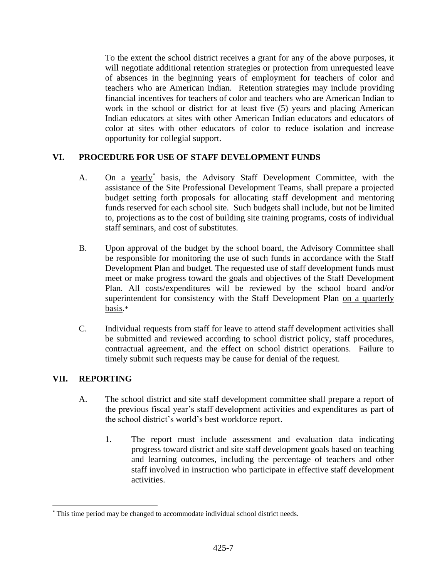To the extent the school district receives a grant for any of the above purposes, it will negotiate additional retention strategies or protection from unrequested leave of absences in the beginning years of employment for teachers of color and teachers who are American Indian. Retention strategies may include providing financial incentives for teachers of color and teachers who are American Indian to work in the school or district for at least five (5) years and placing American Indian educators at sites with other American Indian educators and educators of color at sites with other educators of color to reduce isolation and increase opportunity for collegial support.

# **VI. PROCEDURE FOR USE OF STAFF DEVELOPMENT FUNDS**

- A. On a yearly<sup>\*</sup> basis, the Advisory Staff Development Committee, with the assistance of the Site Professional Development Teams, shall prepare a projected budget setting forth proposals for allocating staff development and mentoring funds reserved for each school site. Such budgets shall include, but not be limited to, projections as to the cost of building site training programs, costs of individual staff seminars, and cost of substitutes.
- B. Upon approval of the budget by the school board, the Advisory Committee shall be responsible for monitoring the use of such funds in accordance with the Staff Development Plan and budget. The requested use of staff development funds must meet or make progress toward the goals and objectives of the Staff Development Plan. All costs/expenditures will be reviewed by the school board and/or superintendent for consistency with the Staff Development Plan on a quarterly basis.\*
- C. Individual requests from staff for leave to attend staff development activities shall be submitted and reviewed according to school district policy, staff procedures, contractual agreement, and the effect on school district operations. Failure to timely submit such requests may be cause for denial of the request.

## **VII. REPORTING**

- A. The school district and site staff development committee shall prepare a report of the previous fiscal year's staff development activities and expenditures as part of the school district's world's best workforce report.
	- 1. The report must include assessment and evaluation data indicating progress toward district and site staff development goals based on teaching and learning outcomes, including the percentage of teachers and other staff involved in instruction who participate in effective staff development activities.

<sup>\*</sup> This time period may be changed to accommodate individual school district needs.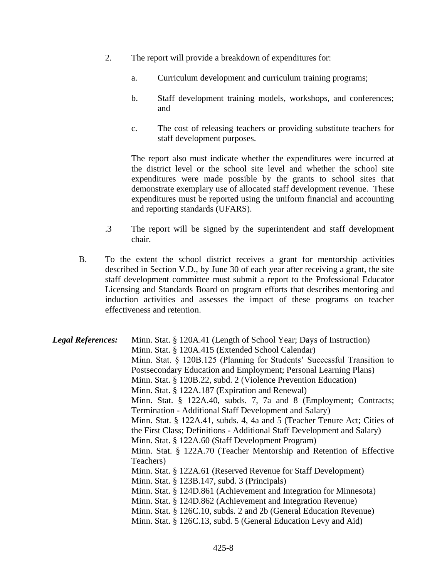- 2. The report will provide a breakdown of expenditures for:
	- a. Curriculum development and curriculum training programs;
	- b. Staff development training models, workshops, and conferences; and
	- c. The cost of releasing teachers or providing substitute teachers for staff development purposes.

The report also must indicate whether the expenditures were incurred at the district level or the school site level and whether the school site expenditures were made possible by the grants to school sites that demonstrate exemplary use of allocated staff development revenue. These expenditures must be reported using the uniform financial and accounting and reporting standards (UFARS).

- .3 The report will be signed by the superintendent and staff development chair.
- B. To the extent the school district receives a grant for mentorship activities described in Section V.D., by June 30 of each year after receiving a grant, the site staff development committee must submit a report to the Professional Educator Licensing and Standards Board on program efforts that describes mentoring and induction activities and assesses the impact of these programs on teacher effectiveness and retention.

*Legal References:* Minn. Stat. § 120A.41 (Length of School Year; Days of Instruction) Minn. Stat. § 120A.415 (Extended School Calendar) Minn. Stat. § 120B.125 (Planning for Students' Successful Transition to Postsecondary Education and Employment; Personal Learning Plans) Minn. Stat. § 120B.22, subd. 2 (Violence Prevention Education) Minn. Stat. § 122A.187 (Expiration and Renewal) Minn. Stat. § 122A.40, subds. 7, 7a and 8 (Employment; Contracts; Termination - Additional Staff Development and Salary) Minn. Stat. § 122A.41, subds. 4, 4a and 5 (Teacher Tenure Act; Cities of the First Class; Definitions - Additional Staff Development and Salary) Minn. Stat. § 122A.60 (Staff Development Program) Minn. Stat. § 122A.70 (Teacher Mentorship and Retention of Effective Teachers) Minn. Stat. § 122A.61 (Reserved Revenue for Staff Development) Minn. Stat. § 123B.147, subd. 3 (Principals) Minn. Stat. § 124D.861 (Achievement and Integration for Minnesota) Minn. Stat. § 124D.862 (Achievement and Integration Revenue) Minn. Stat. § 126C.10, subds. 2 and 2b (General Education Revenue) Minn. Stat. § 126C.13, subd. 5 (General Education Levy and Aid)